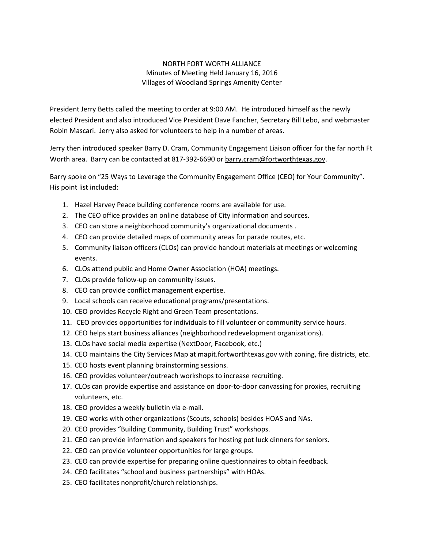## NORTH FORT WORTH ALLIANCE Minutes of Meeting Held January 16, 2016 Villages of Woodland Springs Amenity Center

President Jerry Betts called the meeting to order at 9:00 AM. He introduced himself as the newly elected President and also introduced Vice President Dave Fancher, Secretary Bill Lebo, and webmaster Robin Mascari. Jerry also asked for volunteers to help in a number of areas.

Jerry then introduced speaker Barry D. Cram, Community Engagement Liaison officer for the far north Ft Worth area. Barry can be contacted at 817-392-6690 or barry.cram@fortworthtexas.gov.

Barry spoke on "25 Ways to Leverage the Community Engagement Office (CEO) for Your Community". His point list included:

- 1. Hazel Harvey Peace building conference rooms are available for use.
- 2. The CEO office provides an online database of City information and sources.
- 3. CEO can store a neighborhood community's organizational documents .
- 4. CEO can provide detailed maps of community areas for parade routes, etc.
- 5. Community liaison officers (CLOs) can provide handout materials at meetings or welcoming events.
- 6. CLOs attend public and Home Owner Association (HOA) meetings.
- 7. CLOs provide follow-up on community issues.
- 8. CEO can provide conflict management expertise.
- 9. Local schools can receive educational programs/presentations.
- 10. CEO provides Recycle Right and Green Team presentations.
- 11. CEO provides opportunities for individuals to fill volunteer or community service hours.
- 12. CEO helps start business alliances (neighborhood redevelopment organizations).
- 13. CLOs have social media expertise (NextDoor, Facebook, etc.)
- 14. CEO maintains the City Services Map at mapit.fortworthtexas.gov with zoning, fire districts, etc.
- 15. CEO hosts event planning brainstorming sessions.
- 16. CEO provides volunteer/outreach workshops to increase recruiting.
- 17. CLOs can provide expertise and assistance on door-to-door canvassing for proxies, recruiting volunteers, etc.
- 18. CEO provides a weekly bulletin via e-mail.
- 19. CEO works with other organizations (Scouts, schools) besides HOAS and NAs.
- 20. CEO provides "Building Community, Building Trust" workshops.
- 21. CEO can provide information and speakers for hosting pot luck dinners for seniors.
- 22. CEO can provide volunteer opportunities for large groups.
- 23. CEO can provide expertise for preparing online questionnaires to obtain feedback.
- 24. CEO facilitates "school and business partnerships" with HOAs.
- 25. CEO facilitates nonprofit/church relationships.